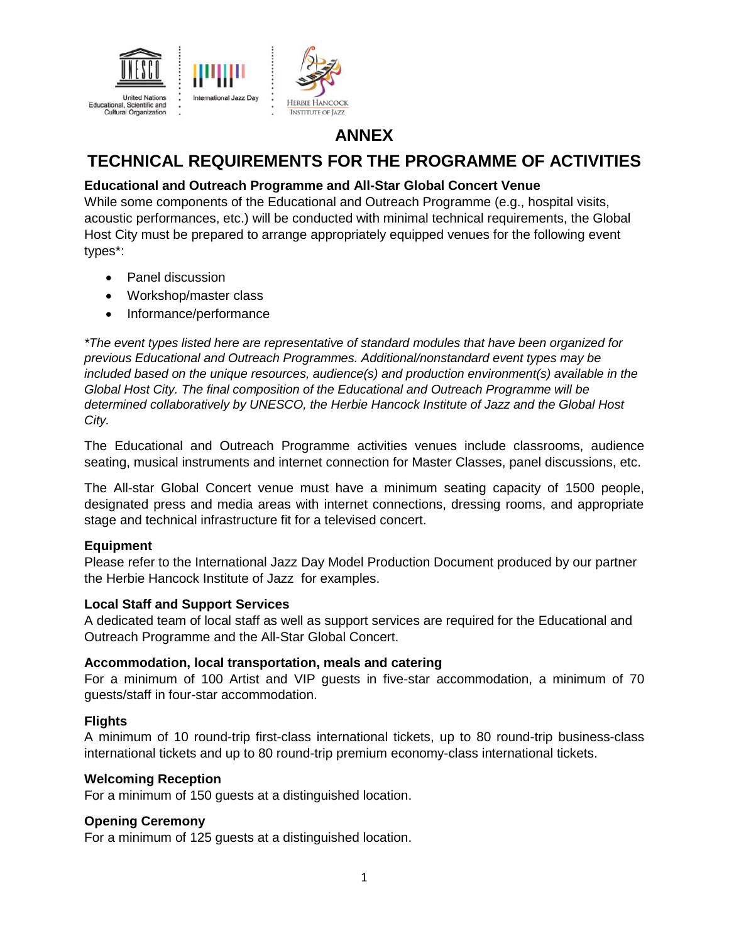

## **ANNEX**

# **TECHNICAL REQUIREMENTS FOR THE PROGRAMME OF ACTIVITIES**

### **Educational and Outreach Programme and All-Star Global Concert Venue**

While some components of the Educational and Outreach Programme (e.g., hospital visits, acoustic performances, etc.) will be conducted with minimal technical requirements, the Global Host City must be prepared to arrange appropriately equipped venues for the following event types\*:

- Panel discussion
- Workshop/master class
- Informance/performance

*\*The event types listed here are representative of standard modules that have been organized for previous Educational and Outreach Programmes. Additional/nonstandard event types may be included based on the unique resources, audience(s) and production environment(s) available in the Global Host City. The final composition of the Educational and Outreach Programme will be determined collaboratively by UNESCO, the Herbie Hancock Institute of Jazz and the Global Host City.*

The Educational and Outreach Programme activities venues include classrooms, audience seating, musical instruments and internet connection for Master Classes, panel discussions, etc.

The All-star Global Concert venue must have a minimum seating capacity of 1500 people, designated press and media areas with internet connections, dressing rooms, and appropriate stage and technical infrastructure fit for a televised concert.

#### **Equipment**

Please refer to the International Jazz Day Model Production Document produced by our partner the Herbie Hancock Institute of Jazz for examples.

#### **Local Staff and Support Services**

A dedicated team of local staff as well as support services are required for the Educational and Outreach Programme and the All-Star Global Concert.

#### **Accommodation, local transportation, meals and catering**

For a minimum of 100 Artist and VIP guests in five-star accommodation, a minimum of 70 guests/staff in four-star accommodation.

#### **Flights**

A minimum of 10 round-trip first-class international tickets, up to 80 round-trip business-class international tickets and up to 80 round-trip premium economy-class international tickets.

#### **Welcoming Reception**

For a minimum of 150 guests at a distinguished location.

#### **Opening Ceremony**

For a minimum of 125 guests at a distinguished location.